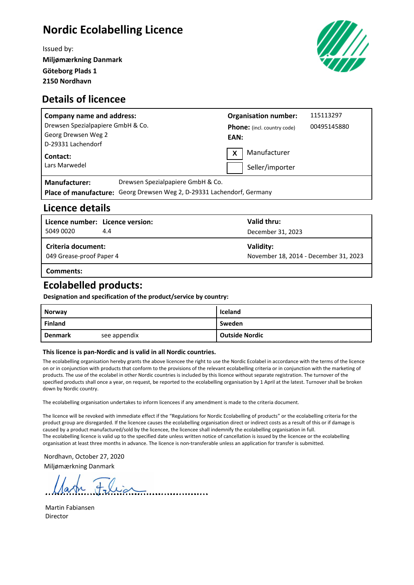# **Nordic Ecolabelling Licence**

Issued by: **Miljømærkning Danmark Göteborg Plads 1 2150 Nordhavn**



#### **Details of licencee**

| <b>Company name and address:</b>                                               |                                                                                                             |      | <b>Organisation number:</b>        | 115113297   |
|--------------------------------------------------------------------------------|-------------------------------------------------------------------------------------------------------------|------|------------------------------------|-------------|
| Drewsen Spezialpapiere GmbH & Co.<br>Georg Drewsen Weg 2<br>D-29331 Lachendorf |                                                                                                             | EAN: | <b>Phone:</b> (incl. country code) | 00495145880 |
| Contact:<br>Lars Marwedel                                                      |                                                                                                             | X    | Manufacturer<br>Seller/importer    |             |
| <b>Manufacturer:</b>                                                           | Drewsen Spezialpapiere GmbH & Co.<br>Place of manufacture: Georg Drewsen Weg 2, D-29331 Lachendorf, Germany |      |                                    |             |

#### **Licence details**

| Licence number: Licence version:               |     | Valid thru:                                        |
|------------------------------------------------|-----|----------------------------------------------------|
| 5049 0020                                      | 4.4 | December 31, 2023                                  |
| Criteria document:<br>049 Grease-proof Paper 4 |     |                                                    |
|                                                |     | Validity:<br>November 18, 2014 - December 31, 2023 |

**Comments:**

### **Ecolabelled products:**

**Designation and specification of the product/service by country:**

| <b>Norway</b>  |              | Iceland               |  |
|----------------|--------------|-----------------------|--|
| <b>Finland</b> |              | Sweden                |  |
| <b>Denmark</b> | see appendix | <b>Outside Nordic</b> |  |

#### **This licence is pan-Nordic and is valid in all Nordic countries.**

The ecolabelling organisation hereby grants the above licencee the right to use the Nordic Ecolabel in accordance with the terms of the licence on or in conjunction with products that conform to the provisions of the relevant ecolabelling criteria or in conjunction with the marketing of products. The use of the ecolabel in other Nordic countries is included by this licence without separate registration. The turnover of the specified products shall once a year, on request, be reported to the ecolabelling organisation by 1 April at the latest. Turnover shall be broken down by Nordic country.

The ecolabelling organisation undertakes to inform licencees if any amendment is made to the criteria document.

The licence will be revoked with immediate effect if the "Regulations for Nordic Ecolabelling of products" or the ecolabelling criteria for the product group are disregarded. If the licencee causes the ecolabelling organisation direct or indirect costs as a result of this or if damage is caused by a product manufactured/sold by the licencee, the licencee shall indemnify the ecolabelling organisation in full. The ecolabelling licence is valid up to the specified date unless written notice of cancellation is issued by the licencee or the ecolabelling organisation at least three months in advance. The licence is non-transferable unless an application for transfer is submitted.

Nordhavn, October 27, 2020 Miljømærkning Danmark

Martin Fabiansen Director